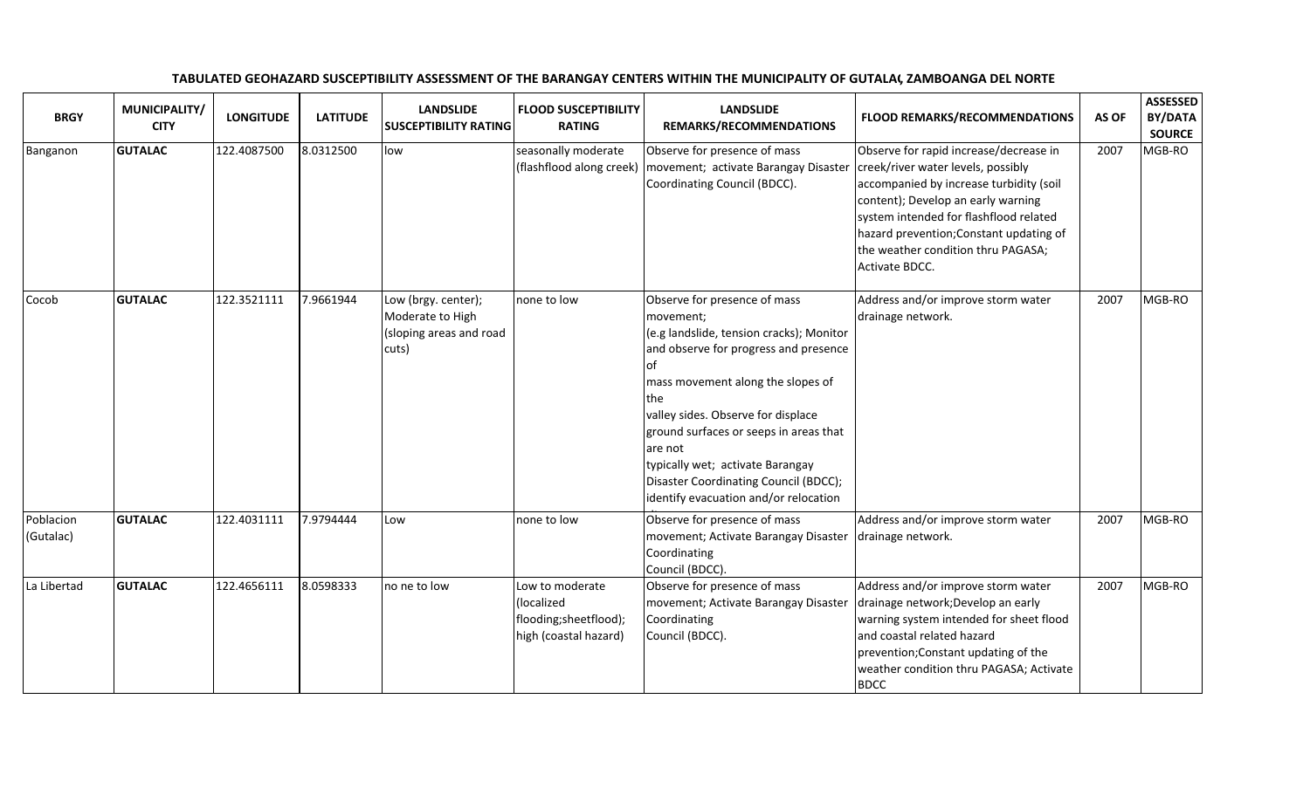| <b>BRGY</b>            | MUNICIPALITY/<br><b>CITY</b> | <b>LONGITUDE</b> | <b>LATITUDE</b> | <b>LANDSLIDE</b><br><b>SUSCEPTIBILITY RATING</b>                            | <b>FLOOD SUSCEPTIBILITY</b><br><b>RATING</b>                                    | <b>LANDSLIDE</b><br>REMARKS/RECOMMENDATIONS                                                                                                                                                                                                                                                                                                                                                              | FLOOD REMARKS/RECOMMENDATIONS                                                                                                                                                                                                                                                                              | AS OF | <b>ASSESSED</b><br><b>BY/DATA</b><br><b>SOURCE</b> |
|------------------------|------------------------------|------------------|-----------------|-----------------------------------------------------------------------------|---------------------------------------------------------------------------------|----------------------------------------------------------------------------------------------------------------------------------------------------------------------------------------------------------------------------------------------------------------------------------------------------------------------------------------------------------------------------------------------------------|------------------------------------------------------------------------------------------------------------------------------------------------------------------------------------------------------------------------------------------------------------------------------------------------------------|-------|----------------------------------------------------|
| Banganon               | <b>GUTALAC</b>               | 122.4087500      | 8.0312500       | low                                                                         | seasonally moderate<br>(flashflood along creek)                                 | Observe for presence of mass<br>movement; activate Barangay Disaster<br>Coordinating Council (BDCC).                                                                                                                                                                                                                                                                                                     | Observe for rapid increase/decrease in<br>creek/river water levels, possibly<br>accompanied by increase turbidity (soil<br>content); Develop an early warning<br>system intended for flashflood related<br>hazard prevention; Constant updating of<br>the weather condition thru PAGASA;<br>Activate BDCC. | 2007  | MGB-RO                                             |
| Cocob                  | <b>GUTALAC</b>               | 122.3521111      | 7.9661944       | Low (brgy. center);<br>Moderate to High<br>(sloping areas and road<br>cuts) | none to low                                                                     | Observe for presence of mass<br>movement;<br>(e.g landslide, tension cracks); Monitor<br>and observe for progress and presence<br><b>of</b><br>mass movement along the slopes of<br>the<br>valley sides. Observe for displace<br>ground surfaces or seeps in areas that<br>are not<br>typically wet; activate Barangay<br>Disaster Coordinating Council (BDCC);<br>identify evacuation and/or relocation | Address and/or improve storm water<br>drainage network.                                                                                                                                                                                                                                                    | 2007  | MGB-RO                                             |
| Poblacion<br>(Gutalac) | <b>GUTALAC</b>               | 122.4031111      | 7.9794444       | Low                                                                         | none to low                                                                     | Observe for presence of mass<br>movement; Activate Barangay Disaster<br>Coordinating<br>Council (BDCC).                                                                                                                                                                                                                                                                                                  | Address and/or improve storm water<br>drainage network.                                                                                                                                                                                                                                                    | 2007  | MGB-RO                                             |
| La Libertad            | <b>GUTALAC</b>               | 122.4656111      | 8.0598333       | no ne to low                                                                | Low to moderate<br>(localized<br>flooding;sheetflood);<br>high (coastal hazard) | Observe for presence of mass<br>movement; Activate Barangay Disaster<br>Coordinating<br>Council (BDCC).                                                                                                                                                                                                                                                                                                  | Address and/or improve storm water<br>drainage network; Develop an early<br>warning system intended for sheet flood<br>and coastal related hazard<br>prevention; Constant updating of the<br>weather condition thru PAGASA; Activate<br><b>BDCC</b>                                                        | 2007  | MGB-RO                                             |

## TABULATED GEOHAZARD SUSCEPTIBILITY ASSESSMENT OF THE BARANGAY CENTERS WITHIN THE MUNICIPALITY OF GUTALAC, ZAMBOANGA DEL NORTE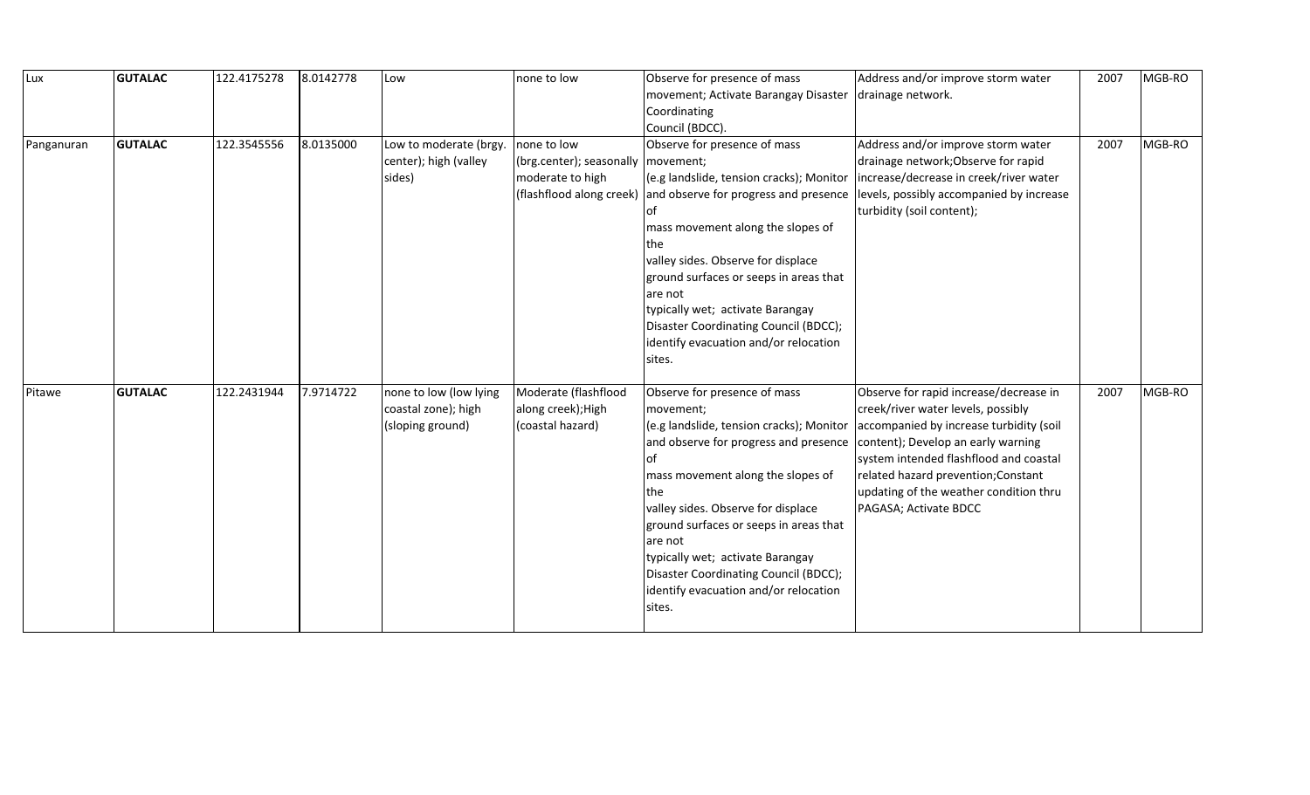| Lux        | <b>GUTALAC</b> | 122.4175278 | 8.0142778 | Low                    | none to low              | Observe for presence of mass                                   | Address and/or improve storm water                                            | 2007 | MGB-RO |
|------------|----------------|-------------|-----------|------------------------|--------------------------|----------------------------------------------------------------|-------------------------------------------------------------------------------|------|--------|
|            |                |             |           |                        |                          | movement; Activate Barangay Disaster                           | drainage network.                                                             |      |        |
|            |                |             |           |                        |                          | Coordinating                                                   |                                                                               |      |        |
|            |                |             |           |                        |                          | Council (BDCC).                                                |                                                                               |      |        |
| Panganuran | <b>GUTALAC</b> | 122.3545556 | 8.0135000 | Low to moderate (brgy. | none to low              | Observe for presence of mass                                   | Address and/or improve storm water                                            | 2007 | MGB-RO |
|            |                |             |           | center); high (valley  | (brg.center); seasonally | movement;                                                      | drainage network; Observe for rapid                                           |      |        |
|            |                |             |           | sides)                 | moderate to high         | (e.g landslide, tension cracks); Monitor                       | increase/decrease in creek/river water                                        |      |        |
|            |                |             |           |                        |                          | (flashflood along creek) and observe for progress and presence | levels, possibly accompanied by increase                                      |      |        |
|            |                |             |           |                        |                          | of                                                             | turbidity (soil content);                                                     |      |        |
|            |                |             |           |                        |                          | mass movement along the slopes of                              |                                                                               |      |        |
|            |                |             |           |                        |                          | lthe                                                           |                                                                               |      |        |
|            |                |             |           |                        |                          | valley sides. Observe for displace                             |                                                                               |      |        |
|            |                |             |           |                        |                          | ground surfaces or seeps in areas that                         |                                                                               |      |        |
|            |                |             |           |                        |                          | are not                                                        |                                                                               |      |        |
|            |                |             |           |                        |                          | typically wet; activate Barangay                               |                                                                               |      |        |
|            |                |             |           |                        |                          | Disaster Coordinating Council (BDCC);                          |                                                                               |      |        |
|            |                |             |           |                        |                          | identify evacuation and/or relocation                          |                                                                               |      |        |
|            |                |             |           |                        |                          | sites.                                                         |                                                                               |      |        |
|            |                |             |           |                        |                          |                                                                |                                                                               |      |        |
| Pitawe     | <b>GUTALAC</b> | 122.2431944 | 7.9714722 | none to low (low lying | Moderate (flashflood     | Observe for presence of mass                                   | Observe for rapid increase/decrease in                                        | 2007 | MGB-RO |
|            |                |             |           | coastal zone); high    | along creek); High       | movement;<br>(e.g landslide, tension cracks); Monitor          | creek/river water levels, possibly<br>accompanied by increase turbidity (soil |      |        |
|            |                |             |           | (sloping ground)       | (coastal hazard)         | and observe for progress and presence                          | content); Develop an early warning                                            |      |        |
|            |                |             |           |                        |                          | lof                                                            | system intended flashflood and coastal                                        |      |        |
|            |                |             |           |                        |                          | mass movement along the slopes of                              | related hazard prevention; Constant                                           |      |        |
|            |                |             |           |                        |                          | the                                                            | updating of the weather condition thru                                        |      |        |
|            |                |             |           |                        |                          | valley sides. Observe for displace                             | PAGASA; Activate BDCC                                                         |      |        |
|            |                |             |           |                        |                          | ground surfaces or seeps in areas that                         |                                                                               |      |        |
|            |                |             |           |                        |                          | are not                                                        |                                                                               |      |        |
|            |                |             |           |                        |                          | typically wet; activate Barangay                               |                                                                               |      |        |
|            |                |             |           |                        |                          | Disaster Coordinating Council (BDCC);                          |                                                                               |      |        |
|            |                |             |           |                        |                          | identify evacuation and/or relocation                          |                                                                               |      |        |
|            |                |             |           |                        |                          | sites.                                                         |                                                                               |      |        |
|            |                |             |           |                        |                          |                                                                |                                                                               |      |        |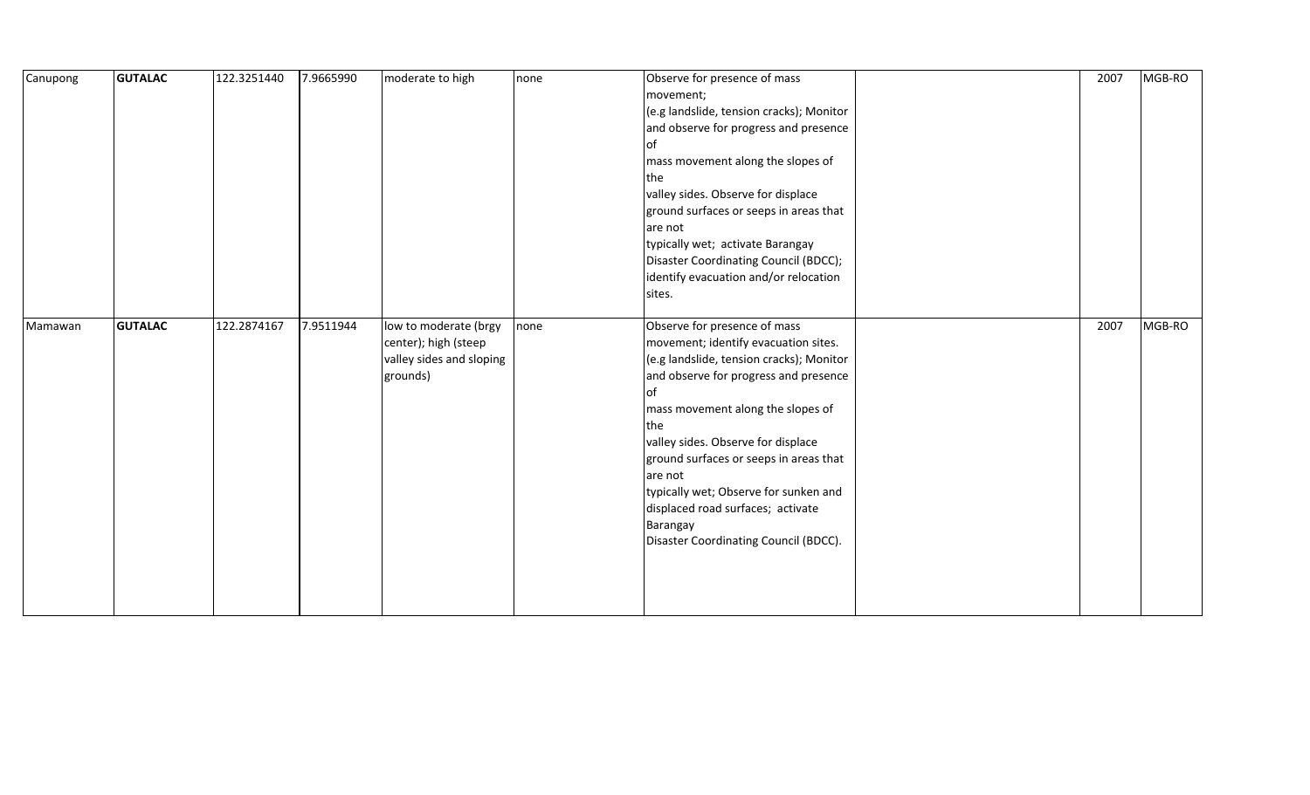| Canupong | <b>GUTALAC</b> | 122.3251440 | 7.9665990 | moderate to high                                                                      | none | Observe for presence of mass<br>movement;<br>(e.g landslide, tension cracks); Monitor<br>and observe for progress and presence<br>of<br>mass movement along the slopes of<br>the<br>valley sides. Observe for displace<br>ground surfaces or seeps in areas that<br>are not<br>typically wet; activate Barangay<br>Disaster Coordinating Council (BDCC);<br>identify evacuation and/or relocation<br>sites.                               | 2007 | MGB-RO |
|----------|----------------|-------------|-----------|---------------------------------------------------------------------------------------|------|-------------------------------------------------------------------------------------------------------------------------------------------------------------------------------------------------------------------------------------------------------------------------------------------------------------------------------------------------------------------------------------------------------------------------------------------|------|--------|
| Mamawan  | <b>GUTALAC</b> | 122.2874167 | 7.9511944 | low to moderate (brgy<br>center); high (steep<br>valley sides and sloping<br>grounds) | none | Observe for presence of mass<br>movement; identify evacuation sites.<br>(e.g landslide, tension cracks); Monitor<br>and observe for progress and presence<br>of<br>mass movement along the slopes of<br>the<br>valley sides. Observe for displace<br>ground surfaces or seeps in areas that<br>are not<br>typically wet; Observe for sunken and<br>displaced road surfaces; activate<br>Barangay<br>Disaster Coordinating Council (BDCC). | 2007 | MGB-RO |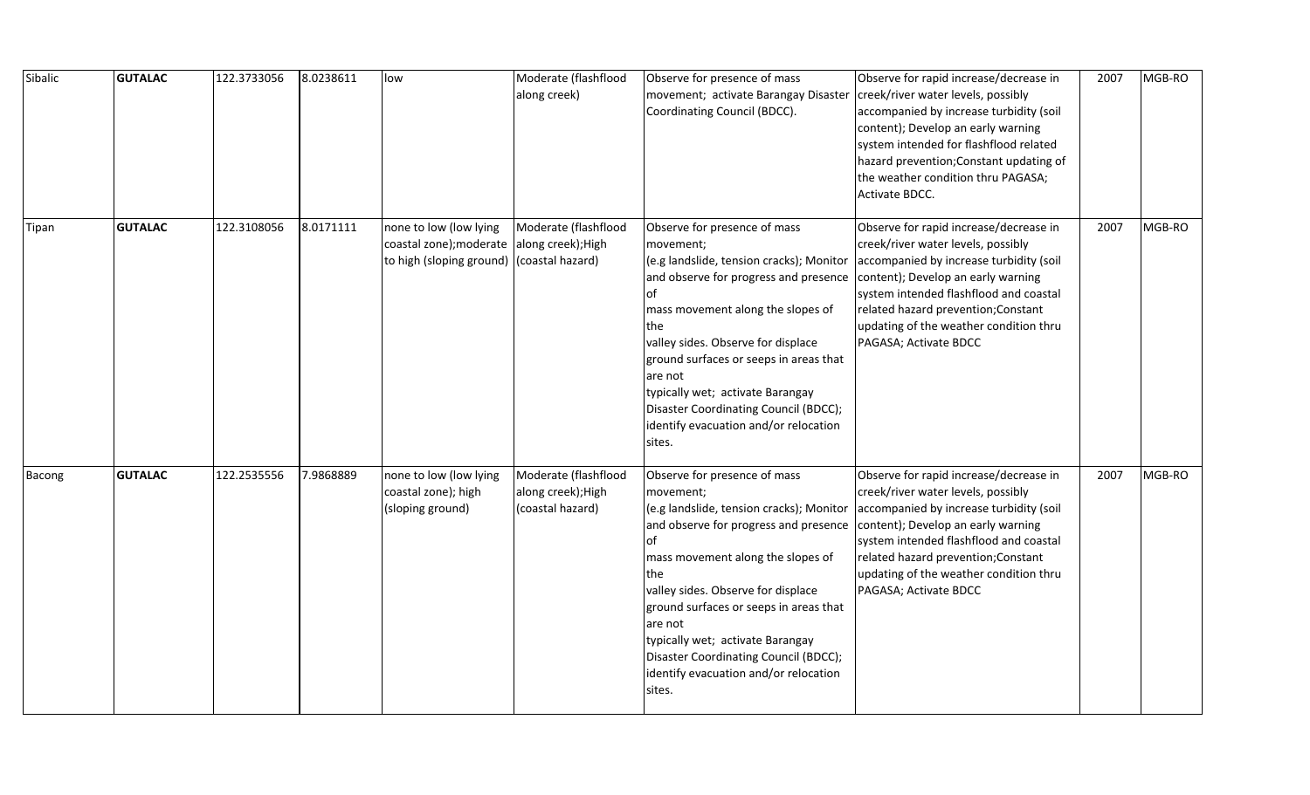| Sibalic | <b>GUTALAC</b> | 122.3733056 | 8.0238611 | low                                                                                                               | Moderate (flashflood<br>along creek)                           | Observe for presence of mass<br>movement; activate Barangay Disaster<br>Coordinating Council (BDCC).                                                                                                                                                                                                                                                                                                                | Observe for rapid increase/decrease in<br>creek/river water levels, possibly<br>accompanied by increase turbidity (soil<br>content); Develop an early warning<br>system intended for flashflood related<br>hazard prevention; Constant updating of<br>the weather condition thru PAGASA;<br>Activate BDCC.        | 2007 | MGB-RO |
|---------|----------------|-------------|-----------|-------------------------------------------------------------------------------------------------------------------|----------------------------------------------------------------|---------------------------------------------------------------------------------------------------------------------------------------------------------------------------------------------------------------------------------------------------------------------------------------------------------------------------------------------------------------------------------------------------------------------|-------------------------------------------------------------------------------------------------------------------------------------------------------------------------------------------------------------------------------------------------------------------------------------------------------------------|------|--------|
| Tipan   | <b>GUTALAC</b> | 122.3108056 | 8.0171111 | none to low (low lying<br>coastal zone); moderate along creek); High<br>to high (sloping ground) (coastal hazard) | Moderate (flashflood                                           | Observe for presence of mass<br>movement;<br>(e.g landslide, tension cracks); Monitor<br>and observe for progress and presence<br>lof<br>mass movement along the slopes of<br><b>the</b><br>valley sides. Observe for displace<br>ground surfaces or seeps in areas that<br>are not<br>typically wet; activate Barangay<br>Disaster Coordinating Council (BDCC);<br>identify evacuation and/or relocation<br>sites. | Observe for rapid increase/decrease in<br>creek/river water levels, possibly<br>accompanied by increase turbidity (soil<br>content); Develop an early warning<br>system intended flashflood and coastal<br>related hazard prevention; Constant<br>updating of the weather condition thru<br>PAGASA; Activate BDCC | 2007 | MGB-RO |
| Bacong  | <b>GUTALAC</b> | 122.2535556 | 7.9868889 | none to low (low lying<br>coastal zone); high<br>(sloping ground)                                                 | Moderate (flashflood<br>along creek); High<br>(coastal hazard) | Observe for presence of mass<br>movement;<br>(e.g landslide, tension cracks); Monitor<br>and observe for progress and presence<br>lof<br>mass movement along the slopes of<br>the<br>valley sides. Observe for displace<br>ground surfaces or seeps in areas that<br>are not<br>typically wet; activate Barangay<br>Disaster Coordinating Council (BDCC);<br>identify evacuation and/or relocation<br>sites.        | Observe for rapid increase/decrease in<br>creek/river water levels, possibly<br>accompanied by increase turbidity (soil<br>content); Develop an early warning<br>system intended flashflood and coastal<br>related hazard prevention; Constant<br>updating of the weather condition thru<br>PAGASA; Activate BDCC | 2007 | MGB-RO |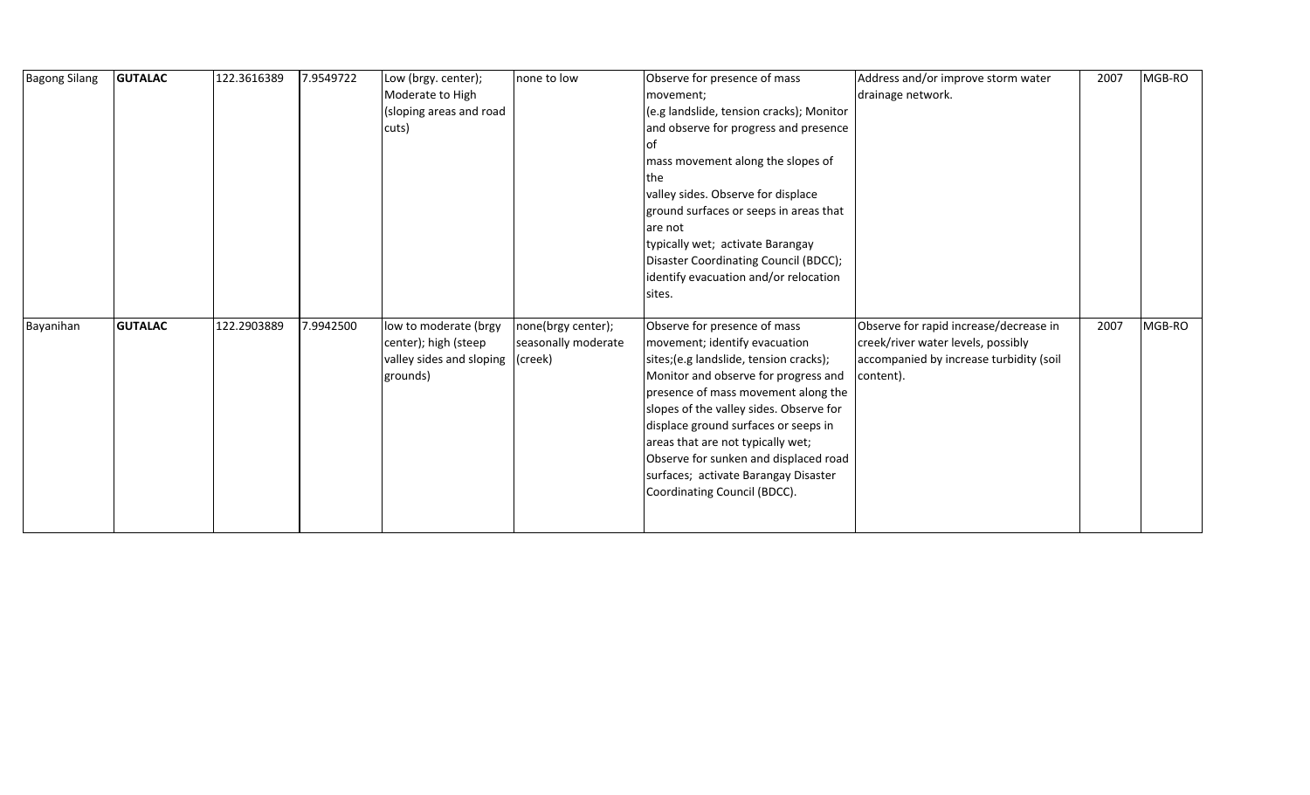| <b>Bagong Silang</b> | <b>GUTALAC</b> | 122.3616389 | 7.9549722 | Low (brgy. center);              | none to low         | Observe for presence of mass             | Address and/or improve storm water      | 2007 | MGB-RO |
|----------------------|----------------|-------------|-----------|----------------------------------|---------------------|------------------------------------------|-----------------------------------------|------|--------|
|                      |                |             |           | Moderate to High                 |                     | movement;                                | drainage network.                       |      |        |
|                      |                |             |           | (sloping areas and road          |                     | (e.g landslide, tension cracks); Monitor |                                         |      |        |
|                      |                |             |           | cuts)                            |                     | and observe for progress and presence    |                                         |      |        |
|                      |                |             |           |                                  |                     | lot                                      |                                         |      |        |
|                      |                |             |           |                                  |                     | mass movement along the slopes of        |                                         |      |        |
|                      |                |             |           |                                  |                     | the                                      |                                         |      |        |
|                      |                |             |           |                                  |                     | valley sides. Observe for displace       |                                         |      |        |
|                      |                |             |           |                                  |                     | ground surfaces or seeps in areas that   |                                         |      |        |
|                      |                |             |           |                                  |                     | are not                                  |                                         |      |        |
|                      |                |             |           |                                  |                     | typically wet; activate Barangay         |                                         |      |        |
|                      |                |             |           |                                  |                     | Disaster Coordinating Council (BDCC);    |                                         |      |        |
|                      |                |             |           |                                  |                     | identify evacuation and/or relocation    |                                         |      |        |
|                      |                |             |           |                                  |                     | sites.                                   |                                         |      |        |
|                      |                |             |           |                                  |                     |                                          |                                         |      |        |
| Bayanihan            | <b>GUTALAC</b> | 122.2903889 | 7.9942500 | low to moderate (brgy            | none(brgy center);  | Observe for presence of mass             | Observe for rapid increase/decrease in  | 2007 | MGB-RO |
|                      |                |             |           | center); high (steep             | seasonally moderate | movement; identify evacuation            | creek/river water levels, possibly      |      |        |
|                      |                |             |           | valley sides and sloping (creek) |                     | sites; (e.g landslide, tension cracks);  | accompanied by increase turbidity (soil |      |        |
|                      |                |             |           | grounds)                         |                     | Monitor and observe for progress and     | content).                               |      |        |
|                      |                |             |           |                                  |                     | presence of mass movement along the      |                                         |      |        |
|                      |                |             |           |                                  |                     | slopes of the valley sides. Observe for  |                                         |      |        |
|                      |                |             |           |                                  |                     | displace ground surfaces or seeps in     |                                         |      |        |
|                      |                |             |           |                                  |                     | areas that are not typically wet;        |                                         |      |        |
|                      |                |             |           |                                  |                     | Observe for sunken and displaced road    |                                         |      |        |
|                      |                |             |           |                                  |                     | surfaces; activate Barangay Disaster     |                                         |      |        |
|                      |                |             |           |                                  |                     | Coordinating Council (BDCC).             |                                         |      |        |
|                      |                |             |           |                                  |                     |                                          |                                         |      |        |
|                      |                |             |           |                                  |                     |                                          |                                         |      |        |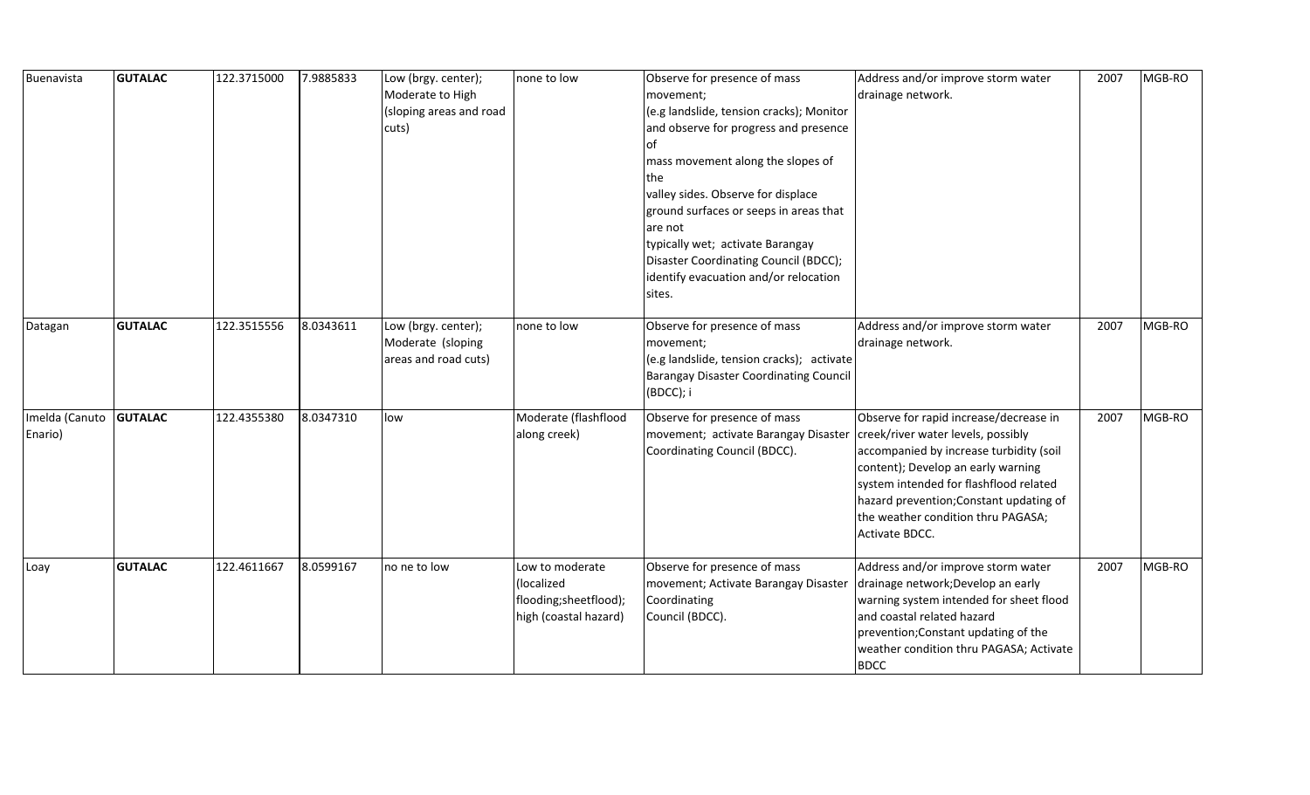| Buenavista                | <b>GUTALAC</b> | 122.3715000 | 7.9885833 | Low (brgy. center);<br>Moderate to High<br>(sloping areas and road<br>cuts) | none to low                                                                     | Observe for presence of mass<br>movement;<br>(e.g landslide, tension cracks); Monitor<br>and observe for progress and presence<br>lof<br>mass movement along the slopes of<br>the<br>valley sides. Observe for displace<br>ground surfaces or seeps in areas that<br>are not<br>typically wet; activate Barangay<br>Disaster Coordinating Council (BDCC);<br>identify evacuation and/or relocation<br>sites. | Address and/or improve storm water<br>drainage network.                                                                                                                                                                                                                                                    | 2007 | MGB-RO |
|---------------------------|----------------|-------------|-----------|-----------------------------------------------------------------------------|---------------------------------------------------------------------------------|--------------------------------------------------------------------------------------------------------------------------------------------------------------------------------------------------------------------------------------------------------------------------------------------------------------------------------------------------------------------------------------------------------------|------------------------------------------------------------------------------------------------------------------------------------------------------------------------------------------------------------------------------------------------------------------------------------------------------------|------|--------|
| Datagan                   | <b>GUTALAC</b> | 122.3515556 | 8.0343611 | Low (brgy. center);<br>Moderate (sloping<br>areas and road cuts)            | none to low                                                                     | Observe for presence of mass<br>movement;<br>(e.g landslide, tension cracks); activate<br><b>Barangay Disaster Coordinating Council</b><br>(BDCC); i                                                                                                                                                                                                                                                         | Address and/or improve storm water<br>drainage network.                                                                                                                                                                                                                                                    | 2007 | MGB-RO |
| Imelda (Canuto<br>Enario) | <b>GUTALAC</b> | 122.4355380 | 8.0347310 | low                                                                         | Moderate (flashflood<br>along creek)                                            | Observe for presence of mass<br>movement; activate Barangay Disaster<br>Coordinating Council (BDCC).                                                                                                                                                                                                                                                                                                         | Observe for rapid increase/decrease in<br>creek/river water levels, possibly<br>accompanied by increase turbidity (soil<br>content); Develop an early warning<br>system intended for flashflood related<br>hazard prevention; Constant updating of<br>the weather condition thru PAGASA;<br>Activate BDCC. | 2007 | MGB-RO |
| Loay                      | <b>GUTALAC</b> | 122.4611667 | 8.0599167 | no ne to low                                                                | Low to moderate<br>(localized<br>flooding;sheetflood);<br>high (coastal hazard) | Observe for presence of mass<br>movement; Activate Barangay Disaster<br>Coordinating<br>Council (BDCC).                                                                                                                                                                                                                                                                                                      | Address and/or improve storm water<br>drainage network; Develop an early<br>warning system intended for sheet flood<br>and coastal related hazard<br>prevention; Constant updating of the<br>weather condition thru PAGASA; Activate<br><b>BDCC</b>                                                        | 2007 | MGB-RO |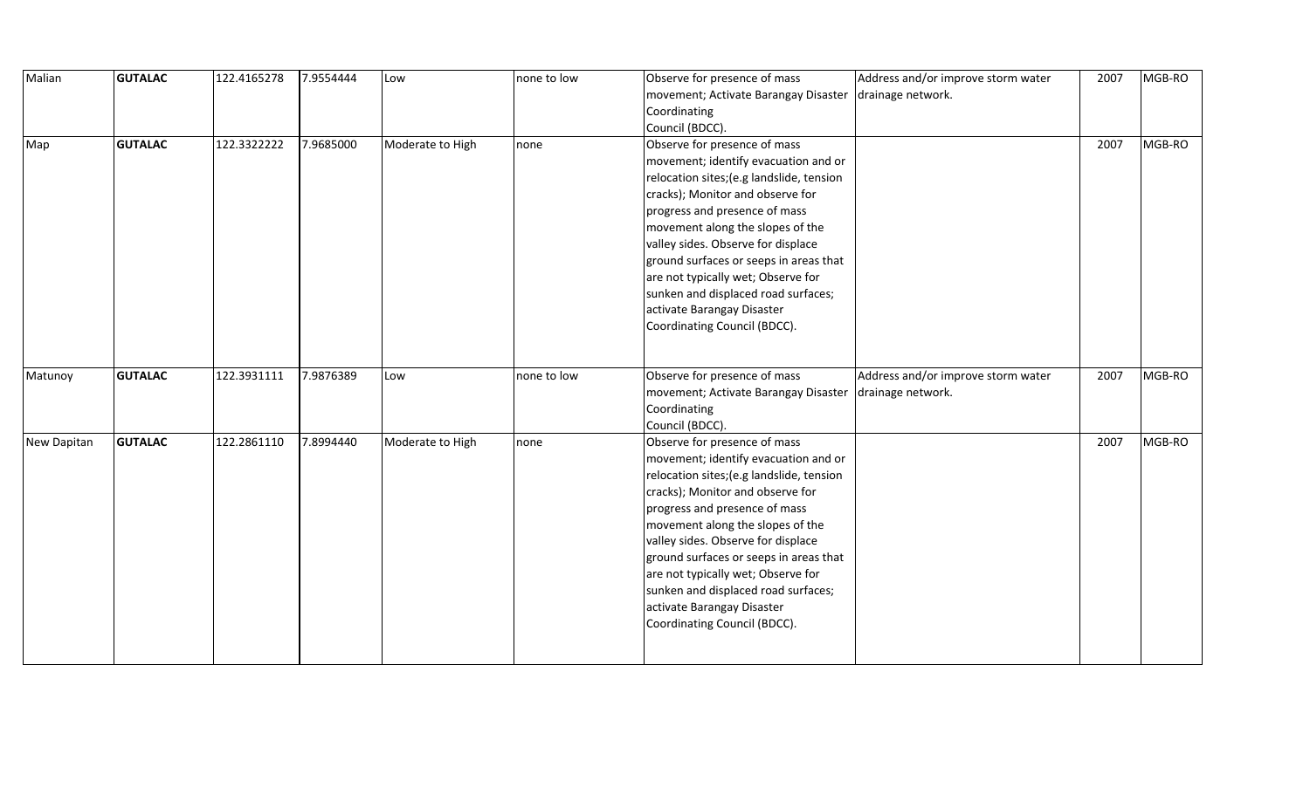| Malian      | <b>GUTALAC</b> | 122.4165278 | 7.9554444 | Low              | none to low | Observe for presence of mass                    | Address and/or improve storm water | 2007 | MGB-RO |
|-------------|----------------|-------------|-----------|------------------|-------------|-------------------------------------------------|------------------------------------|------|--------|
|             |                |             |           |                  |             | movement; Activate Barangay Disaster            | drainage network.                  |      |        |
|             |                |             |           |                  |             | Coordinating                                    |                                    |      |        |
|             |                |             |           |                  |             | Council (BDCC).                                 |                                    |      |        |
| Map         | <b>GUTALAC</b> | 122.3322222 | 7.9685000 | Moderate to High | none        | Observe for presence of mass                    |                                    | 2007 | MGB-RO |
|             |                |             |           |                  |             | movement; identify evacuation and or            |                                    |      |        |
|             |                |             |           |                  |             | relocation sites; (e.g landslide, tension       |                                    |      |        |
|             |                |             |           |                  |             | cracks); Monitor and observe for                |                                    |      |        |
|             |                |             |           |                  |             | progress and presence of mass                   |                                    |      |        |
|             |                |             |           |                  |             | movement along the slopes of the                |                                    |      |        |
|             |                |             |           |                  |             | valley sides. Observe for displace              |                                    |      |        |
|             |                |             |           |                  |             | ground surfaces or seeps in areas that          |                                    |      |        |
|             |                |             |           |                  |             | are not typically wet; Observe for              |                                    |      |        |
|             |                |             |           |                  |             | sunken and displaced road surfaces;             |                                    |      |        |
|             |                |             |           |                  |             | activate Barangay Disaster                      |                                    |      |        |
|             |                |             |           |                  |             | Coordinating Council (BDCC).                    |                                    |      |        |
|             |                |             |           |                  |             |                                                 |                                    |      |        |
|             |                |             |           |                  |             |                                                 |                                    |      |        |
| Matunoy     | <b>GUTALAC</b> | 122.3931111 | 7.9876389 | Low              | none to low | Observe for presence of mass                    | Address and/or improve storm water | 2007 | MGB-RO |
|             |                |             |           |                  |             | movement; Activate Barangay Disaster            | drainage network.                  |      |        |
|             |                |             |           |                  |             | Coordinating                                    |                                    |      |        |
| New Dapitan | <b>GUTALAC</b> | 122.2861110 | 7.8994440 | Moderate to High |             | Council (BDCC).<br>Observe for presence of mass |                                    | 2007 | MGB-RO |
|             |                |             |           |                  | none        | movement; identify evacuation and or            |                                    |      |        |
|             |                |             |           |                  |             | relocation sites; (e.g landslide, tension       |                                    |      |        |
|             |                |             |           |                  |             | cracks); Monitor and observe for                |                                    |      |        |
|             |                |             |           |                  |             | progress and presence of mass                   |                                    |      |        |
|             |                |             |           |                  |             | movement along the slopes of the                |                                    |      |        |
|             |                |             |           |                  |             | valley sides. Observe for displace              |                                    |      |        |
|             |                |             |           |                  |             | ground surfaces or seeps in areas that          |                                    |      |        |
|             |                |             |           |                  |             | are not typically wet; Observe for              |                                    |      |        |
|             |                |             |           |                  |             | sunken and displaced road surfaces;             |                                    |      |        |
|             |                |             |           |                  |             | activate Barangay Disaster                      |                                    |      |        |
|             |                |             |           |                  |             | Coordinating Council (BDCC).                    |                                    |      |        |
|             |                |             |           |                  |             |                                                 |                                    |      |        |
|             |                |             |           |                  |             |                                                 |                                    |      |        |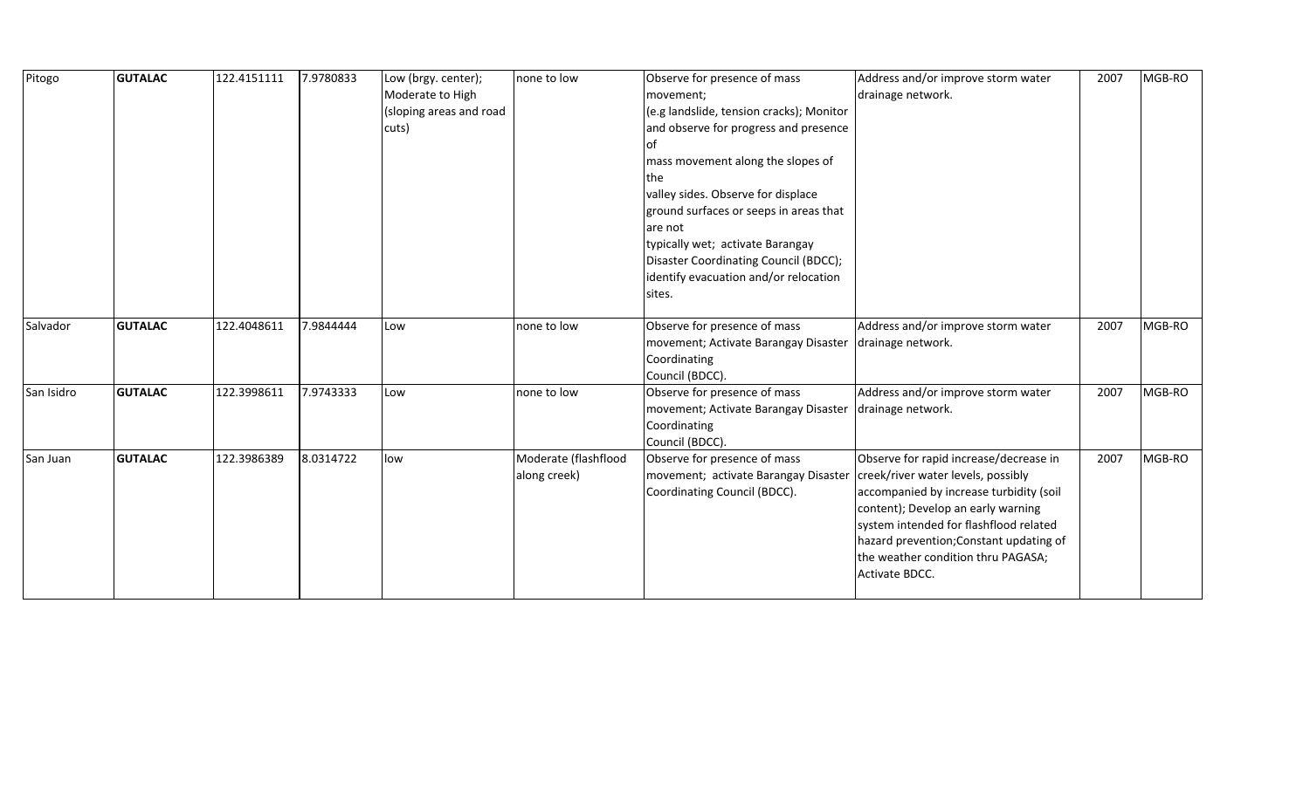| Pitogo     | <b>GUTALAC</b> | 122.4151111 | 7.9780833 | Low (brgy. center);     | none to low          | Observe for presence of mass             | Address and/or improve storm water      | 2007 | MGB-RO |
|------------|----------------|-------------|-----------|-------------------------|----------------------|------------------------------------------|-----------------------------------------|------|--------|
|            |                |             |           | Moderate to High        |                      | movement;                                | drainage network.                       |      |        |
|            |                |             |           | (sloping areas and road |                      | (e.g landslide, tension cracks); Monitor |                                         |      |        |
|            |                |             |           | cuts)                   |                      | and observe for progress and presence    |                                         |      |        |
|            |                |             |           |                         |                      | οf                                       |                                         |      |        |
|            |                |             |           |                         |                      | mass movement along the slopes of        |                                         |      |        |
|            |                |             |           |                         |                      | the                                      |                                         |      |        |
|            |                |             |           |                         |                      | valley sides. Observe for displace       |                                         |      |        |
|            |                |             |           |                         |                      | ground surfaces or seeps in areas that   |                                         |      |        |
|            |                |             |           |                         |                      | are not                                  |                                         |      |        |
|            |                |             |           |                         |                      | typically wet; activate Barangay         |                                         |      |        |
|            |                |             |           |                         |                      | Disaster Coordinating Council (BDCC);    |                                         |      |        |
|            |                |             |           |                         |                      | identify evacuation and/or relocation    |                                         |      |        |
|            |                |             |           |                         |                      | sites.                                   |                                         |      |        |
|            |                |             |           |                         |                      |                                          |                                         |      |        |
| Salvador   | <b>GUTALAC</b> | 122.4048611 | 7.9844444 | Low                     | none to low          | Observe for presence of mass             | Address and/or improve storm water      | 2007 | MGB-RO |
|            |                |             |           |                         |                      | movement; Activate Barangay Disaster     | drainage network.                       |      |        |
|            |                |             |           |                         |                      | Coordinating                             |                                         |      |        |
|            |                |             |           |                         |                      | Council (BDCC).                          |                                         |      |        |
| San Isidro | <b>GUTALAC</b> | 122.3998611 | 7.9743333 | Low                     | none to low          | Observe for presence of mass             | Address and/or improve storm water      | 2007 | MGB-RO |
|            |                |             |           |                         |                      | movement; Activate Barangay Disaster     | drainage network.                       |      |        |
|            |                |             |           |                         |                      | Coordinating                             |                                         |      |        |
|            |                |             |           |                         |                      | Council (BDCC).                          |                                         |      |        |
| San Juan   | <b>GUTALAC</b> | 122.3986389 | 8.0314722 | low                     | Moderate (flashflood | Observe for presence of mass             | Observe for rapid increase/decrease in  | 2007 | MGB-RO |
|            |                |             |           |                         | along creek)         | movement; activate Barangay Disaster     | creek/river water levels, possibly      |      |        |
|            |                |             |           |                         |                      | Coordinating Council (BDCC).             | accompanied by increase turbidity (soil |      |        |
|            |                |             |           |                         |                      |                                          | content); Develop an early warning      |      |        |
|            |                |             |           |                         |                      |                                          | system intended for flashflood related  |      |        |
|            |                |             |           |                         |                      |                                          | hazard prevention; Constant updating of |      |        |
|            |                |             |           |                         |                      |                                          | the weather condition thru PAGASA;      |      |        |
|            |                |             |           |                         |                      |                                          | Activate BDCC.                          |      |        |
|            |                |             |           |                         |                      |                                          |                                         |      |        |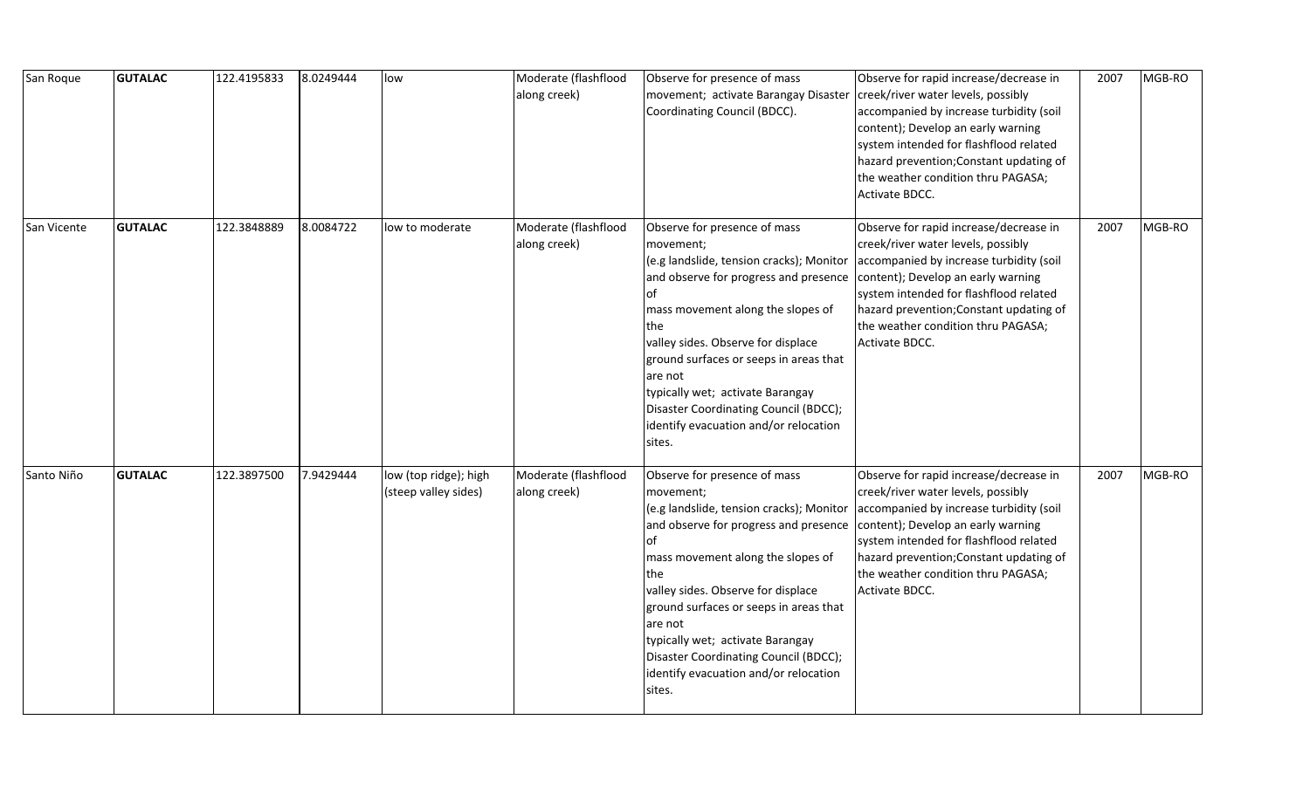| San Roque   | <b>GUTALAC</b> | 122.4195833 | 8.0249444 | low                                           | Moderate (flashflood<br>along creek) | Observe for presence of mass<br>movement; activate Barangay Disaster<br>Coordinating Council (BDCC).                                                                                                                                                                                                                                                                                                        | Observe for rapid increase/decrease in<br>creek/river water levels, possibly<br>accompanied by increase turbidity (soil<br>content); Develop an early warning<br>system intended for flashflood related<br>hazard prevention; Constant updating of<br>the weather condition thru PAGASA;<br>Activate BDCC. | 2007 | MGB-RO |
|-------------|----------------|-------------|-----------|-----------------------------------------------|--------------------------------------|-------------------------------------------------------------------------------------------------------------------------------------------------------------------------------------------------------------------------------------------------------------------------------------------------------------------------------------------------------------------------------------------------------------|------------------------------------------------------------------------------------------------------------------------------------------------------------------------------------------------------------------------------------------------------------------------------------------------------------|------|--------|
| San Vicente | <b>GUTALAC</b> | 122.3848889 | 8.0084722 | low to moderate                               | Moderate (flashflood<br>along creek) | Observe for presence of mass<br>movement;<br>(e.g landslide, tension cracks); Monitor<br>and observe for progress and presence<br>of<br>mass movement along the slopes of<br>the<br>valley sides. Observe for displace<br>ground surfaces or seeps in areas that<br>are not<br>typically wet; activate Barangay<br>Disaster Coordinating Council (BDCC);<br>identify evacuation and/or relocation<br>sites. | Observe for rapid increase/decrease in<br>creek/river water levels, possibly<br>accompanied by increase turbidity (soil<br>content); Develop an early warning<br>system intended for flashflood related<br>hazard prevention; Constant updating of<br>the weather condition thru PAGASA;<br>Activate BDCC. | 2007 | MGB-RO |
| Santo Niño  | <b>GUTALAC</b> | 122.3897500 | 7.9429444 | low (top ridge); high<br>(steep valley sides) | Moderate (flashflood<br>along creek) | Observe for presence of mass<br>movement;<br>(e.g landslide, tension cracks); Monitor<br>and observe for progress and presence<br>of<br>mass movement along the slopes of<br>the<br>valley sides. Observe for displace<br>ground surfaces or seeps in areas that<br>are not<br>typically wet; activate Barangay<br>Disaster Coordinating Council (BDCC);<br>identify evacuation and/or relocation<br>sites. | Observe for rapid increase/decrease in<br>creek/river water levels, possibly<br>accompanied by increase turbidity (soil<br>content); Develop an early warning<br>system intended for flashflood related<br>hazard prevention; Constant updating of<br>the weather condition thru PAGASA;<br>Activate BDCC. | 2007 | MGB-RO |